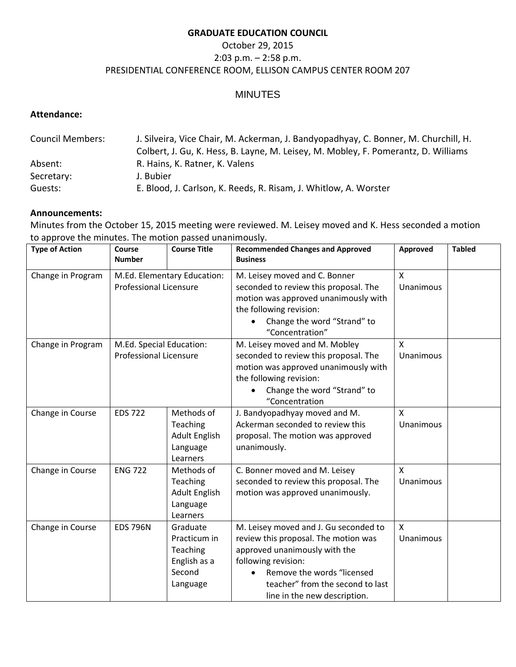#### **GRADUATE EDUCATION COUNCIL**

# October 29, 2015 2:03 p.m. – 2:58 p.m. PRESIDENTIAL CONFERENCE ROOM, ELLISON CAMPUS CENTER ROOM 207

# MINUTES

### **Attendance:**

| <b>Council Members:</b> | J. Silveira, Vice Chair, M. Ackerman, J. Bandyopadhyay, C. Bonner, M. Churchill, H. |
|-------------------------|-------------------------------------------------------------------------------------|
|                         | Colbert, J. Gu, K. Hess, B. Layne, M. Leisey, M. Mobley, F. Pomerantz, D. Williams  |
| Absent:                 | R. Hains, K. Ratner, K. Valens                                                      |
| Secretary:              | J. Bubier                                                                           |
| Guests:                 | E. Blood, J. Carlson, K. Reeds, R. Risam, J. Whitlow, A. Worster                    |

## **Announcements:**

Minutes from the October 15, 2015 meeting were reviewed. M. Leisey moved and K. Hess seconded a motion to approve the minutes. The motion passed unanimously.

| <b>Type of Action</b> | Course<br><b>Number</b>                                      | <b>Course Title</b>                                                        | <b>Recommended Changes and Approved</b><br><b>Business</b>                                                                                                                                                                              | Approved                  | <b>Tabled</b> |
|-----------------------|--------------------------------------------------------------|----------------------------------------------------------------------------|-----------------------------------------------------------------------------------------------------------------------------------------------------------------------------------------------------------------------------------------|---------------------------|---------------|
| Change in Program     | M.Ed. Elementary Education:<br><b>Professional Licensure</b> |                                                                            | M. Leisey moved and C. Bonner<br>seconded to review this proposal. The<br>motion was approved unanimously with<br>the following revision:<br>Change the word "Strand" to<br>"Concentration"                                             | $\mathsf{x}$<br>Unanimous |               |
| Change in Program     | M.Ed. Special Education:<br><b>Professional Licensure</b>    |                                                                            | M. Leisey moved and M. Mobley<br>seconded to review this proposal. The<br>motion was approved unanimously with<br>the following revision:<br>Change the word "Strand" to<br>"Concentration                                              | $\mathsf{x}$<br>Unanimous |               |
| Change in Course      | <b>EDS 722</b>                                               | Methods of<br>Teaching<br><b>Adult English</b><br>Language<br>Learners     | J. Bandyopadhyay moved and M.<br>Ackerman seconded to review this<br>proposal. The motion was approved<br>unanimously.                                                                                                                  | $\mathsf{x}$<br>Unanimous |               |
| Change in Course      | <b>ENG 722</b>                                               | Methods of<br>Teaching<br><b>Adult English</b><br>Language<br>Learners     | C. Bonner moved and M. Leisey<br>seconded to review this proposal. The<br>motion was approved unanimously.                                                                                                                              | X<br>Unanimous            |               |
| Change in Course      | <b>EDS 796N</b>                                              | Graduate<br>Practicum in<br>Teaching<br>English as a<br>Second<br>Language | M. Leisey moved and J. Gu seconded to<br>review this proposal. The motion was<br>approved unanimously with the<br>following revision:<br>Remove the words "licensed<br>teacher" from the second to last<br>line in the new description. | X<br>Unanimous            |               |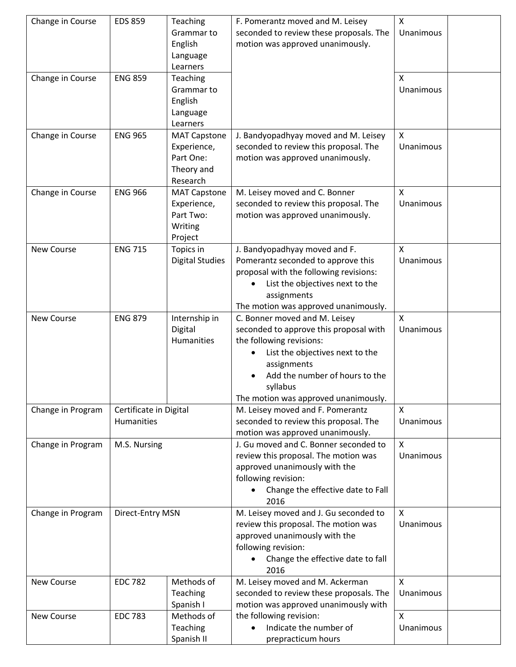| Change in Course  | <b>EDS 859</b>         | Teaching               | F. Pomerantz moved and M. Leisey        | $\mathsf{X}$ |  |
|-------------------|------------------------|------------------------|-----------------------------------------|--------------|--|
|                   |                        | Grammar to             | seconded to review these proposals. The | Unanimous    |  |
|                   |                        | English                | motion was approved unanimously.        |              |  |
|                   |                        | Language               |                                         |              |  |
|                   |                        | Learners               |                                         |              |  |
| Change in Course  | <b>ENG 859</b>         | Teaching               |                                         | X            |  |
|                   |                        | Grammar to             |                                         | Unanimous    |  |
|                   |                        | English                |                                         |              |  |
|                   |                        | Language               |                                         |              |  |
|                   |                        | Learners               |                                         |              |  |
| Change in Course  | <b>ENG 965</b>         | <b>MAT Capstone</b>    | J. Bandyopadhyay moved and M. Leisey    | X            |  |
|                   |                        | Experience,            | seconded to review this proposal. The   | Unanimous    |  |
|                   |                        | Part One:              | motion was approved unanimously.        |              |  |
|                   |                        | Theory and             |                                         |              |  |
|                   |                        | Research               |                                         |              |  |
| Change in Course  | <b>ENG 966</b>         | <b>MAT Capstone</b>    | M. Leisey moved and C. Bonner           | $\mathsf{x}$ |  |
|                   |                        | Experience,            | seconded to review this proposal. The   | Unanimous    |  |
|                   |                        | Part Two:              | motion was approved unanimously.        |              |  |
|                   |                        | Writing                |                                         |              |  |
|                   |                        | Project                |                                         |              |  |
| New Course        | <b>ENG 715</b>         | Topics in              | J. Bandyopadhyay moved and F.           | X            |  |
|                   |                        | <b>Digital Studies</b> | Pomerantz seconded to approve this      | Unanimous    |  |
|                   |                        |                        | proposal with the following revisions:  |              |  |
|                   |                        |                        | List the objectives next to the         |              |  |
|                   |                        |                        | assignments                             |              |  |
|                   |                        |                        | The motion was approved unanimously.    |              |  |
| New Course        | <b>ENG 879</b>         | Internship in          | C. Bonner moved and M. Leisey           | $\mathsf{X}$ |  |
|                   |                        | Digital                | seconded to approve this proposal with  | Unanimous    |  |
|                   |                        | <b>Humanities</b>      | the following revisions:                |              |  |
|                   |                        |                        | List the objectives next to the         |              |  |
|                   |                        |                        | assignments                             |              |  |
|                   |                        |                        | Add the number of hours to the          |              |  |
|                   |                        |                        | syllabus                                |              |  |
|                   |                        |                        | The motion was approved unanimously.    |              |  |
| Change in Program | Certificate in Digital |                        | M. Leisey moved and F. Pomerantz        | $\mathsf{X}$ |  |
|                   | <b>Humanities</b>      |                        | seconded to review this proposal. The   | Unanimous    |  |
|                   |                        |                        | motion was approved unanimously.        |              |  |
| Change in Program | M.S. Nursing           |                        | J. Gu moved and C. Bonner seconded to   | X            |  |
|                   |                        |                        | review this proposal. The motion was    | Unanimous    |  |
|                   |                        |                        | approved unanimously with the           |              |  |
|                   |                        |                        | following revision:                     |              |  |
|                   |                        |                        | Change the effective date to Fall       |              |  |
|                   |                        |                        | 2016                                    |              |  |
| Change in Program | Direct-Entry MSN       |                        | M. Leisey moved and J. Gu seconded to   | X            |  |
|                   |                        |                        | review this proposal. The motion was    | Unanimous    |  |
|                   |                        |                        | approved unanimously with the           |              |  |
|                   |                        |                        | following revision:                     |              |  |
|                   |                        |                        | Change the effective date to fall       |              |  |
|                   |                        |                        | 2016                                    |              |  |
| New Course        | <b>EDC 782</b>         | Methods of             | M. Leisey moved and M. Ackerman         | $\mathsf{X}$ |  |
|                   |                        | Teaching               | seconded to review these proposals. The | Unanimous    |  |
|                   |                        | Spanish I              | motion was approved unanimously with    |              |  |
| New Course        | <b>EDC 783</b>         | Methods of             | the following revision:                 | X            |  |
|                   |                        | Teaching               | Indicate the number of                  | Unanimous    |  |
|                   |                        | Spanish II             | prepracticum hours                      |              |  |